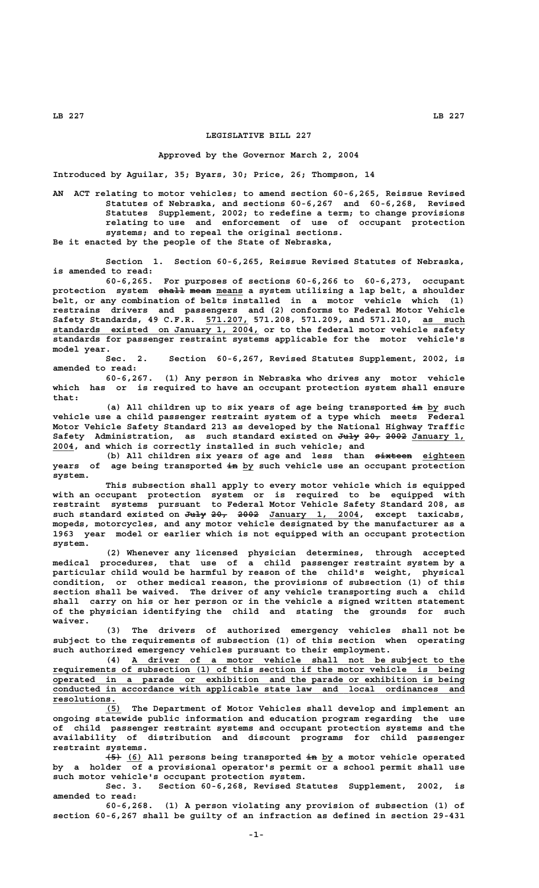## **LEGISLATIVE BILL 227**

## **Approved by the Governor March 2, 2004**

**Introduced by Aguilar, 35; Byars, 30; Price, 26; Thompson, 14**

**AN ACT relating to motor vehicles; to amend section 60-6,265, Reissue Revised Statutes of Nebraska, and sections 60-6,267 and 60-6,268, Revised Statutes Supplement, 2002; to redefine a term; to change provisions relating to use and enforcement of use of occupant protection systems; and to repeal the original sections. Be it enacted by the people of the State of Nebraska,**

**Section 1. Section 60-6,265, Reissue Revised Statutes of Nebraska, is amended to read:**

**60-6,265. For purposes of sections 60-6,266 to 60-6,273, occupant** protection system shall mean means a system utilizing a lap belt, a shoulder **belt, or any combination of belts installed in a motor vehicle which (1) restrains drivers and passengers and (2) conforms to Federal Motor Vehicle \_\_\_\_\_\_\_\_ \_\_\_\_\_\_\_\_ Safety Standards, 49 C.F.R. 571.207, 571.208, 571.209, and 571.210, as such \_\_\_\_\_\_\_\_\_\_\_\_\_\_\_\_\_\_\_\_\_\_\_\_\_\_\_\_\_\_\_\_\_\_\_\_\_\_\_ standards existed on January 1, 2004, or to the federal motor vehicle safety standards for passenger restraint systems applicable for the motor vehicle's model year.**

**Sec. 2. Section 60-6,267, Revised Statutes Supplement, 2002, is amended to read:**

**60-6,267. (1) Any person in Nebraska who drives any motor vehicle which has or is required to have an occupant protection system shall ensure that:**

(a) All children up to six years of age being transported in by such **vehicle use a child passenger restraint system of a type which meets Federal Motor Vehicle Safety Standard 213 as developed by the National Highway Traffic Safety Administration, as such standard existed on July 20, 2002 January 1, ———— ——— ———— \_\_\_\_\_\_\_\_\_\_ \_\_\_\_ 2004, and which is correctly installed in such vehicle; and**

(b) All children six years of age and less than  $\frac{1}{x}$   $\frac{1}{x}$  eighteen  **—— \_\_ years of age being transported in by such vehicle use an occupant protection system.**

**This subsection shall apply to every motor vehicle which is equipped with an occupant protection system or is required to be equipped with restraint systems pursuant to Federal Motor Vehicle Safety Standard 208, as** such standard existed on July 20, 2002 January 1, 2004, except taxicabs, **mopeds, motorcycles, and any motor vehicle designated by the manufacturer as a 1963 year model or earlier which is not equipped with an occupant protection system.**

**(2) Whenever any licensed physician determines, through accepted medical procedures, that use of a child passenger restraint system by a particular child would be harmful by reason of the child's weight, physical condition, or other medical reason, the provisions of subsection (1) of this section shall be waived. The driver of any vehicle transporting such a child shall carry on his or her person or in the vehicle a signed written statement of the physician identifying the child and stating the grounds for such waiver.**

**(3) The drivers of authorized emergency vehicles shall not be subject to the requirements of subsection (1) of this section when operating such authorized emergency vehicles pursuant to their employment.**

 **\_\_\_\_\_\_\_\_\_\_\_\_\_\_\_\_\_\_\_\_\_\_\_\_\_\_\_\_\_\_\_\_\_\_\_\_\_\_\_\_\_\_\_\_\_\_\_\_\_\_\_\_\_\_\_\_\_\_\_\_\_\_\_ (4) A driver of a motor vehicle shall not be subject to the \_\_\_\_\_\_\_\_\_\_\_\_\_\_\_\_\_\_\_\_\_\_\_\_\_\_\_\_\_\_\_\_\_\_\_\_\_\_\_\_\_\_\_\_\_\_\_\_\_\_\_\_\_\_\_\_\_\_\_\_\_\_\_\_\_\_\_\_\_\_\_\_\_\_\_\_\_\_ requirements of subsection (1) of this section if the motor vehicle is being \_\_\_\_\_\_\_\_\_\_\_\_\_\_\_\_\_\_\_\_\_\_\_\_\_\_\_\_\_\_\_\_\_\_\_\_\_\_\_\_\_\_\_\_\_\_\_\_\_\_\_\_\_\_\_\_\_\_\_\_\_\_\_\_\_\_\_\_\_\_\_\_\_\_\_\_\_\_ operated in a parade or exhibition and the parade or exhibition is being \_\_\_\_\_\_\_\_\_\_\_\_\_\_\_\_\_\_\_\_\_\_\_\_\_\_\_\_\_\_\_\_\_\_\_\_\_\_\_\_\_\_\_\_\_\_\_\_\_\_\_\_\_\_\_\_\_\_\_\_\_\_\_\_\_\_\_\_\_\_\_\_\_\_\_\_\_\_ conducted in accordance with applicable state law and local ordinances and resolutions. \_\_\_\_\_\_\_\_\_\_\_\_**

 **\_\_\_ (5) The Department of Motor Vehicles shall develop and implement an ongoing statewide public information and education program regarding the use of child passenger restraint systems and occupant protection systems and the availability of distribution and discount programs for child passenger restraint systems.**

 **——— \_\_\_ —— \_\_ (5) (6) All persons being transported in by a motor vehicle operated by a holder of a provisional operator's permit or a school permit shall use such motor vehicle's occupant protection system.**

**Sec. 3. Section 60-6,268, Revised Statutes Supplement, 2002, is amended to read:**

**60-6,268. (1) A person violating any provision of subsection (1) of section 60-6,267 shall be guilty of an infraction as defined in section 29-431**